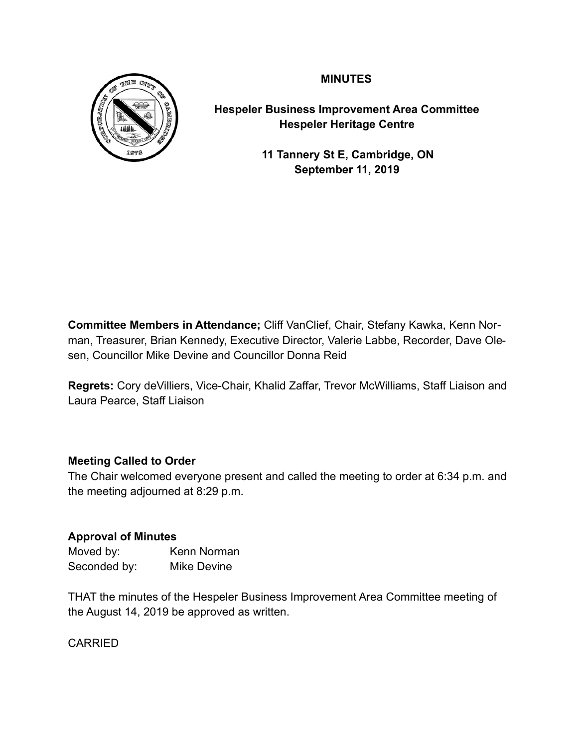**MINUTES** 



**Hespeler Business Improvement Area Committee Hespeler Heritage Centre** 

> **11 Tannery St E, Cambridge, ON September 11, 2019**

**Committee Members in Attendance;** Cliff VanClief, Chair, Stefany Kawka, Kenn Norman, Treasurer, Brian Kennedy, Executive Director, Valerie Labbe, Recorder, Dave Olesen, Councillor Mike Devine and Councillor Donna Reid

**Regrets:** Cory deVilliers, Vice-Chair, Khalid Zaffar, Trevor McWilliams, Staff Liaison and Laura Pearce, Staff Liaison

# **Meeting Called to Order**

The Chair welcomed everyone present and called the meeting to order at 6:34 p.m. and the meeting adjourned at 8:29 p.m.

## **Approval of Minutes**

| Moved by:    | Kenn Norman |
|--------------|-------------|
| Seconded by: | Mike Devine |

THAT the minutes of the Hespeler Business Improvement Area Committee meeting of the August 14, 2019 be approved as written.

CARRIED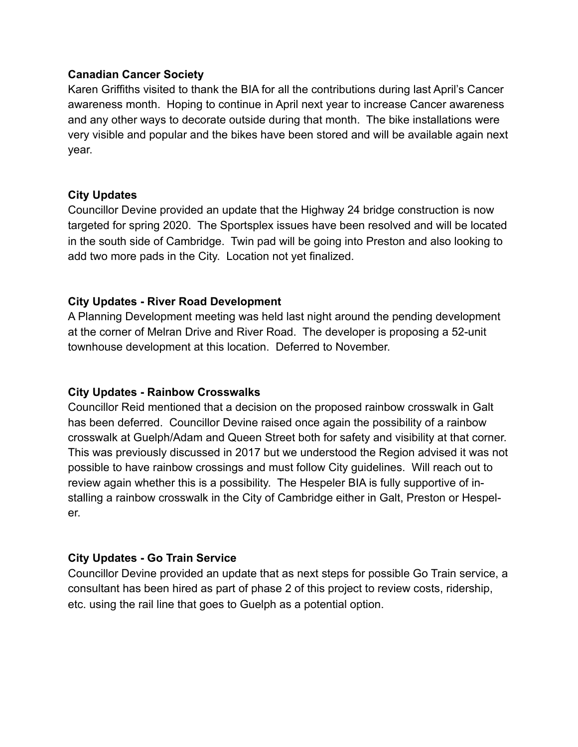## **Canadian Cancer Society**

Karen Griffiths visited to thank the BIA for all the contributions during last April's Cancer awareness month. Hoping to continue in April next year to increase Cancer awareness and any other ways to decorate outside during that month. The bike installations were very visible and popular and the bikes have been stored and will be available again next year.

## **City Updates**

Councillor Devine provided an update that the Highway 24 bridge construction is now targeted for spring 2020. The Sportsplex issues have been resolved and will be located in the south side of Cambridge. Twin pad will be going into Preston and also looking to add two more pads in the City. Location not yet finalized.

## **City Updates - River Road Development**

A Planning Development meeting was held last night around the pending development at the corner of Melran Drive and River Road. The developer is proposing a 52-unit townhouse development at this location. Deferred to November.

## **City Updates - Rainbow Crosswalks**

Councillor Reid mentioned that a decision on the proposed rainbow crosswalk in Galt has been deferred. Councillor Devine raised once again the possibility of a rainbow crosswalk at Guelph/Adam and Queen Street both for safety and visibility at that corner. This was previously discussed in 2017 but we understood the Region advised it was not possible to have rainbow crossings and must follow City guidelines. Will reach out to review again whether this is a possibility. The Hespeler BIA is fully supportive of installing a rainbow crosswalk in the City of Cambridge either in Galt, Preston or Hespeler.

## **City Updates - Go Train Service**

Councillor Devine provided an update that as next steps for possible Go Train service, a consultant has been hired as part of phase 2 of this project to review costs, ridership, etc. using the rail line that goes to Guelph as a potential option.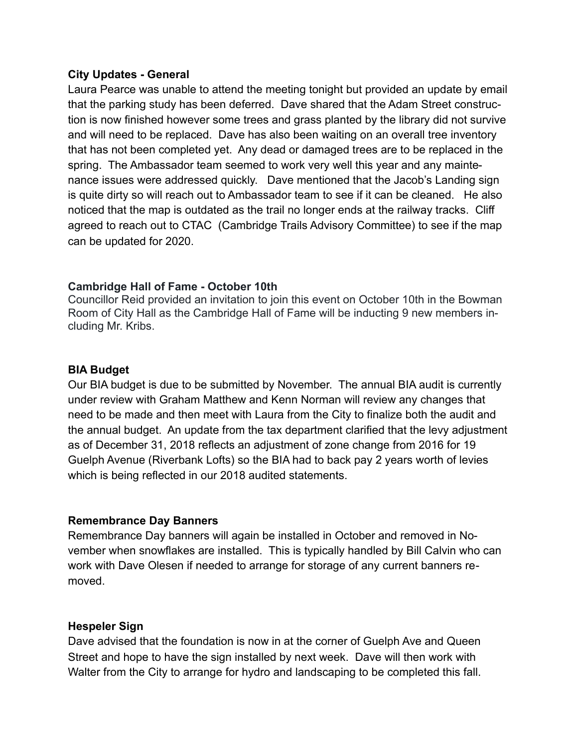## **City Updates - General**

Laura Pearce was unable to attend the meeting tonight but provided an update by email that the parking study has been deferred. Dave shared that the Adam Street construction is now finished however some trees and grass planted by the library did not survive and will need to be replaced. Dave has also been waiting on an overall tree inventory that has not been completed yet. Any dead or damaged trees are to be replaced in the spring. The Ambassador team seemed to work very well this year and any maintenance issues were addressed quickly. Dave mentioned that the Jacob's Landing sign is quite dirty so will reach out to Ambassador team to see if it can be cleaned. He also noticed that the map is outdated as the trail no longer ends at the railway tracks. Cliff agreed to reach out to CTAC (Cambridge Trails Advisory Committee) to see if the map can be updated for 2020.

## **Cambridge Hall of Fame - October 10th**

Councillor Reid provided an invitation to join this event on October 10th in the Bowman Room of City Hall as the Cambridge Hall of Fame will be inducting 9 new members including Mr. Kribs.

## **BIA Budget**

Our BIA budget is due to be submitted by November. The annual BIA audit is currently under review with Graham Matthew and Kenn Norman will review any changes that need to be made and then meet with Laura from the City to finalize both the audit and the annual budget. An update from the tax department clarified that the levy adjustment as of December 31, 2018 reflects an adjustment of zone change from 2016 for 19 Guelph Avenue (Riverbank Lofts) so the BIA had to back pay 2 years worth of levies which is being reflected in our 2018 audited statements.

## **Remembrance Day Banners**

Remembrance Day banners will again be installed in October and removed in November when snowflakes are installed. This is typically handled by Bill Calvin who can work with Dave Olesen if needed to arrange for storage of any current banners removed.

## **Hespeler Sign**

Dave advised that the foundation is now in at the corner of Guelph Ave and Queen Street and hope to have the sign installed by next week. Dave will then work with Walter from the City to arrange for hydro and landscaping to be completed this fall.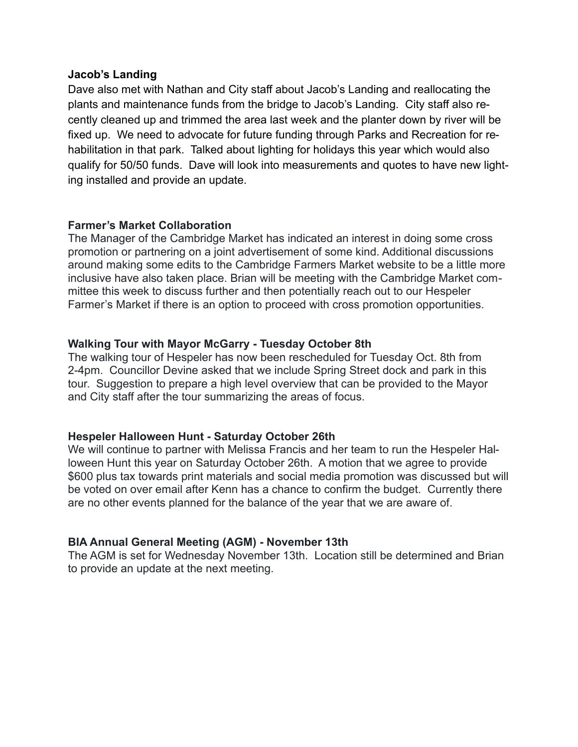#### **Jacob's Landing**

Dave also met with Nathan and City staff about Jacob's Landing and reallocating the plants and maintenance funds from the bridge to Jacob's Landing. City staff also recently cleaned up and trimmed the area last week and the planter down by river will be fixed up. We need to advocate for future funding through Parks and Recreation for rehabilitation in that park. Talked about lighting for holidays this year which would also qualify for 50/50 funds. Dave will look into measurements and quotes to have new lighting installed and provide an update.

## **Farmer's Market Collaboration**

The Manager of the Cambridge Market has indicated an interest in doing some cross promotion or partnering on a joint advertisement of some kind. Additional discussions around making some edits to the Cambridge Farmers Market website to be a little more inclusive have also taken place. Brian will be meeting with the Cambridge Market committee this week to discuss further and then potentially reach out to our Hespeler Farmer's Market if there is an option to proceed with cross promotion opportunities.

## **Walking Tour with Mayor McGarry - Tuesday October 8th**

The walking tour of Hespeler has now been rescheduled for Tuesday Oct. 8th from 2-4pm. Councillor Devine asked that we include Spring Street dock and park in this tour. Suggestion to prepare a high level overview that can be provided to the Mayor and City staff after the tour summarizing the areas of focus.

## **Hespeler Halloween Hunt - Saturday October 26th**

We will continue to partner with Melissa Francis and her team to run the Hespeler Halloween Hunt this year on Saturday October 26th. A motion that we agree to provide \$600 plus tax towards print materials and social media promotion was discussed but will be voted on over email after Kenn has a chance to confirm the budget. Currently there are no other events planned for the balance of the year that we are aware of.

## **BIA Annual General Meeting (AGM) - November 13th**

The AGM is set for Wednesday November 13th. Location still be determined and Brian to provide an update at the next meeting.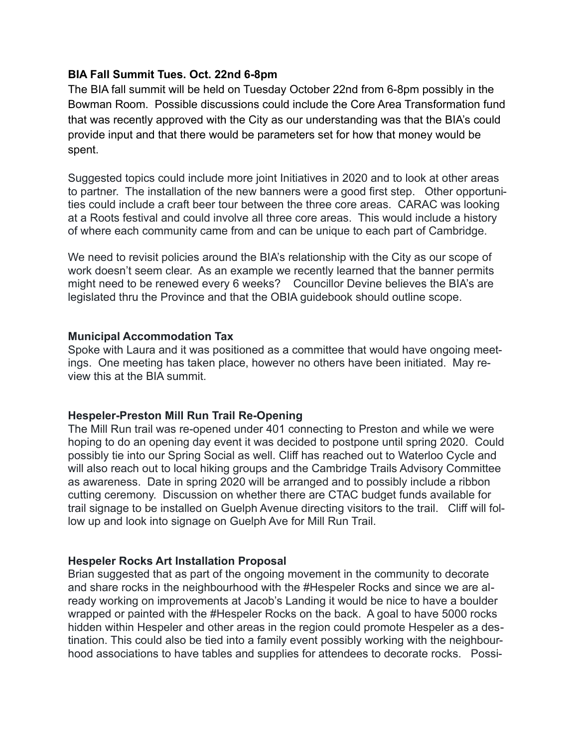## **BIA Fall Summit Tues. Oct. 22nd 6-8pm**

The BIA fall summit will be held on Tuesday October 22nd from 6-8pm possibly in the Bowman Room. Possible discussions could include the Core Area Transformation fund that was recently approved with the City as our understanding was that the BIA's could provide input and that there would be parameters set for how that money would be spent.

Suggested topics could include more joint Initiatives in 2020 and to look at other areas to partner. The installation of the new banners were a good first step. Other opportunities could include a craft beer tour between the three core areas. CARAC was looking at a Roots festival and could involve all three core areas. This would include a history of where each community came from and can be unique to each part of Cambridge.

We need to revisit policies around the BIA's relationship with the City as our scope of work doesn't seem clear. As an example we recently learned that the banner permits might need to be renewed every 6 weeks? Councillor Devine believes the BIA's are legislated thru the Province and that the OBIA guidebook should outline scope.

## **Municipal Accommodation Tax**

Spoke with Laura and it was positioned as a committee that would have ongoing meetings. One meeting has taken place, however no others have been initiated. May review this at the BIA summit.

## **Hespeler-Preston Mill Run Trail Re-Opening**

The Mill Run trail was re-opened under 401 connecting to Preston and while we were hoping to do an opening day event it was decided to postpone until spring 2020. Could possibly tie into our Spring Social as well. Cliff has reached out to Waterloo Cycle and will also reach out to local hiking groups and the Cambridge Trails Advisory Committee as awareness. Date in spring 2020 will be arranged and to possibly include a ribbon cutting ceremony. Discussion on whether there are CTAC budget funds available for trail signage to be installed on Guelph Avenue directing visitors to the trail. Cliff will follow up and look into signage on Guelph Ave for Mill Run Trail.

## **Hespeler Rocks Art Installation Proposal**

Brian suggested that as part of the ongoing movement in the community to decorate and share rocks in the neighbourhood with the #Hespeler Rocks and since we are already working on improvements at Jacob's Landing it would be nice to have a boulder wrapped or painted with the #Hespeler Rocks on the back. A goal to have 5000 rocks hidden within Hespeler and other areas in the region could promote Hespeler as a destination. This could also be tied into a family event possibly working with the neighbourhood associations to have tables and supplies for attendees to decorate rocks. Possi-